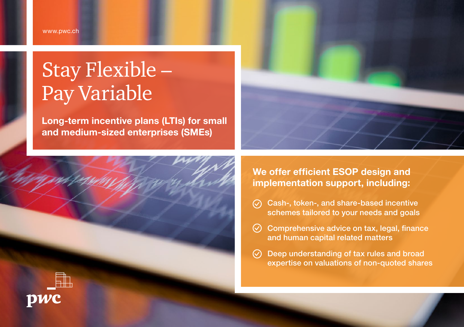# Stay Flexible – Pay Variable

Long-term incentive plans (LTIs) for small and medium-sized enterprises (SMEs)





### We offer efficient ESOP design and implementation support, including:

- $\odot$ Cash-, token-, and share-based incentive schemes tailored to your needs and goals
- $\heartsuit$  Comprehensive advice on tax, legal, finance and human capital related matters
- Deep understanding of tax rules and broad  $\odot$ expertise on valuations of non-quoted shares